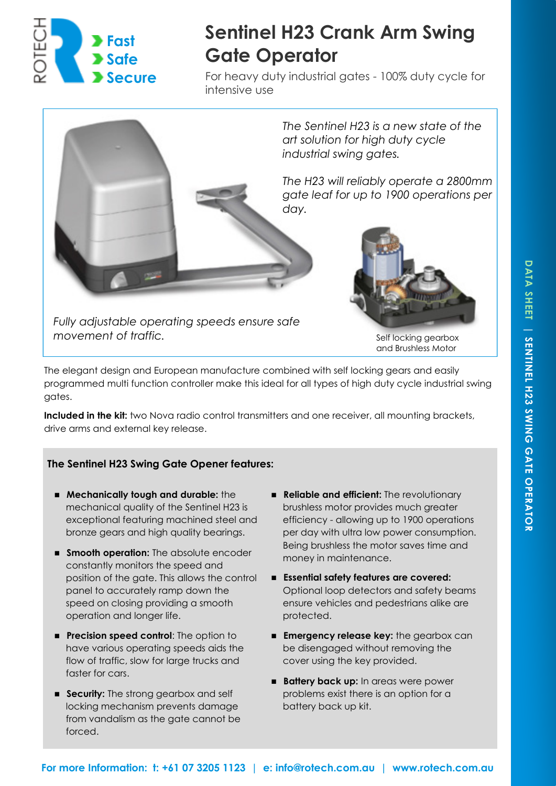

# **Sentinel H23 Crank Arm Swing Gate Operator**

For heavy duty industrial gates - 100% duty cycle for intensive use



The elegant design and European manufacture combined with self locking gears and easily programmed multi function controller make this ideal for all types of high duty cycle industrial swing gates.

**Included in the kit:** two Nova radio control transmitters and one receiver, all mounting brackets, drive arms and external key release.

# **The Sentinel H23 Swing Gate Opener features:**

- **Mechanically tough and durable:** the mechanical quality of the Sentinel H23 is exceptional featuring machined steel and bronze gears and high quality bearings.
- **Smooth operation:** The absolute encoder constantly monitors the speed and position of the gate. This allows the control panel to accurately ramp down the speed on closing providing a smooth operation and longer life.
- **Precision speed control:** The option to have various operating speeds aids the flow of traffic, slow for large trucks and faster for cars.
- **Security:** The strong gearbox and self locking mechanism prevents damage from vandalism as the gate cannot be forced.
- **Reliable and efficient:** The revolutionary brushless motor provides much greater efficiency - allowing up to 1900 operations per day with ultra low power consumption. Being brushless the motor saves time and money in maintenance.
- **Essential safety features are covered:**  Optional loop detectors and safety beams ensure vehicles and pedestrians alike are protected.
- **Emergency release key:** the gearbox can be disengaged without removing the cover using the key provided.
- **Battery back up:** In areas were power problems exist there is an option for a battery back up kit.